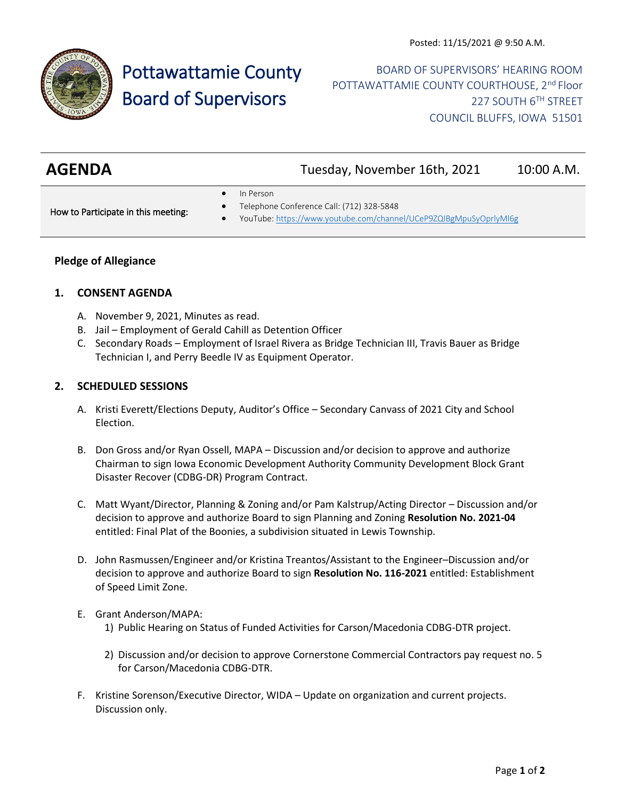

# Pottawattamie County Board of Supervisors

BOARD OF SUPERVISORS' HEARING ROOM POTTAWATTAMIE COUNTY COURTHOUSE, 2<sup>nd</sup> Floor 227 SOUTH 6TH STREET COUNCIL BLUFFS, IOWA 51501

| <b>AGENDA</b> | Tuesday, November 16th, 2021 | 10:00 A.M. |
|---------------|------------------------------|------------|
|               |                              |            |

In Person

How to Participate in this meeting:

- Telephone Conference Call: (712) 328-5848
- YouTube[: https://www.youtube.com/channel/UCeP9ZQIBgMpuSyOprlyMl6g](https://www.youtube.com/channel/UCeP9ZQIBgMpuSyOprlyMl6g)

# **Pledge of Allegiance**

# **1. CONSENT AGENDA**

- A. November 9, 2021, Minutes as read.
- B. Jail Employment of Gerald Cahill as Detention Officer
- C. Secondary Roads Employment of Israel Rivera as Bridge Technician III, Travis Bauer as Bridge Technician I, and Perry Beedle IV as Equipment Operator.

# **2. SCHEDULED SESSIONS**

- A. Kristi Everett/Elections Deputy, Auditor's Office Secondary Canvass of 2021 City and School Election.
- B. Don Gross and/or Ryan Ossell, MAPA Discussion and/or decision to approve and authorize Chairman to sign Iowa Economic Development Authority Community Development Block Grant Disaster Recover (CDBG-DR) Program Contract.
- C. Matt Wyant/Director, Planning & Zoning and/or Pam Kalstrup/Acting Director Discussion and/or decision to approve and authorize Board to sign Planning and Zoning **Resolution No. 2021-04** entitled: Final Plat of the Boonies, a subdivision situated in Lewis Township.
- D. John Rasmussen/Engineer and/or Kristina Treantos/Assistant to the Engineer–Discussion and/or decision to approve and authorize Board to sign **Resolution No. 116-2021** entitled: Establishment of Speed Limit Zone.
- E. Grant Anderson/MAPA: 1) Public Hearing on Status of Funded Activities for Carson/Macedonia CDBG-DTR project.
	- 2) Discussion and/or decision to approve Cornerstone Commercial Contractors pay request no. 5 for Carson/Macedonia CDBG-DTR.
- F. Kristine Sorenson/Executive Director, WIDA Update on organization and current projects. Discussion only.